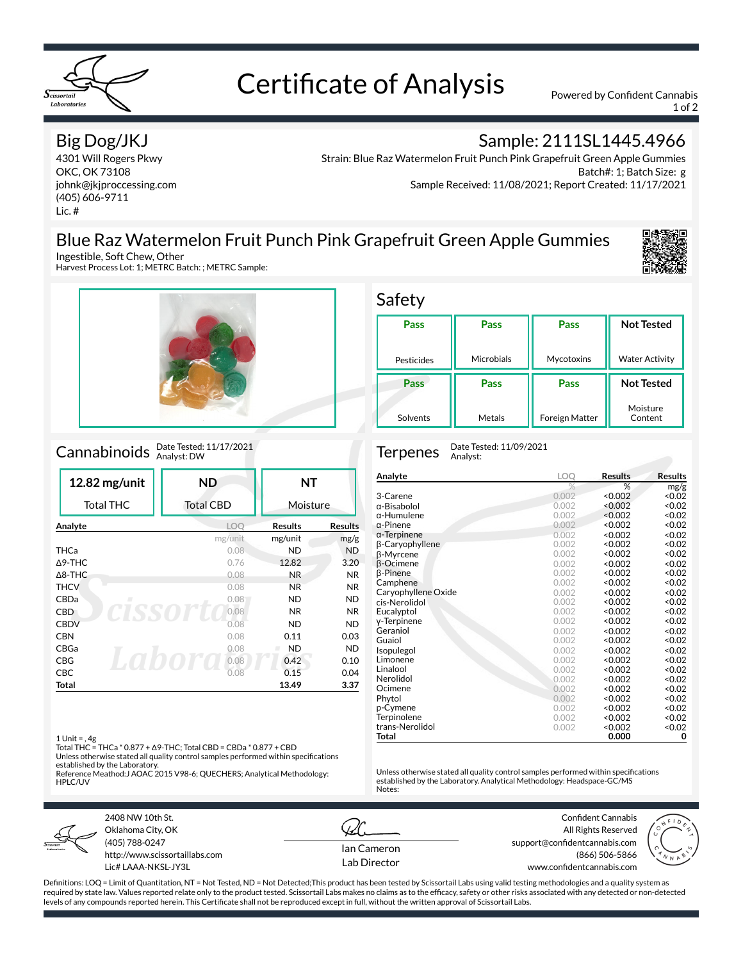

# Certificate of Analysis Powered by Confident Cannabis

1 of 2

### Big Dog/JKJ

4301 Will Rogers Pkwy OKC, OK 73108 johnk@jkjproccessing.com (405) 606-9711 Lic. #

Sample: 2111SL1445.4966

Strain: Blue Raz Watermelon Fruit Punch Pink Grapefruit Green Apple Gummies Batch#: 1; Batch Size: g Sample Received: 11/08/2021; Report Created: 11/17/2021

### Blue Raz Watermelon Fruit Punch Pink Grapefruit Green Apple Gummies



Harvest Process Lot: 1; METRC Batch: ; METRC Sample:



## Cannabinoids Date Tested: 11/17/2021

| 12.82 mg/unit     | <b>ND</b>        | NΤ             |                |
|-------------------|------------------|----------------|----------------|
| <b>Total THC</b>  | <b>Total CBD</b> | Moisture       |                |
| Analyte           | LOO              | <b>Results</b> | <b>Results</b> |
|                   | mg/unit          | mg/unit        | mg/g           |
| <b>THCa</b>       | 0.08             | ND             | <b>ND</b>      |
| $\triangle$ 9-THC | 0.76             | 12.82          | 3.20           |
| $\triangle$ 8-THC | 0.08             | N <sub>R</sub> | NR.            |
| <b>THCV</b>       | 0.08             | <b>NR</b>      | N <sub>R</sub> |
| CBDa<br>п         | 0.08             | ND.            | <b>ND</b>      |
| <b>CBD</b>        | 0.08             | N <sub>R</sub> | <b>NR</b>      |
| <b>CBDV</b>       | 0.08             | <b>ND</b>      | <b>ND</b>      |
| <b>CBN</b>        | 0.08             | 0.11           | 0.03           |
| CBGa              | 0.08             | ND<br>ш        | <b>ND</b>      |
| CBG               | 0.08             | 0.42           | 0.10           |
| <b>CBC</b>        | 0.08             | 0.15           | 0.04           |
| Total             |                  | 13.49          | 3.37           |

#### Safety

| Pass       | Pass       | Pass                  | <b>Not Tested</b>     |
|------------|------------|-----------------------|-----------------------|
|            |            |                       |                       |
| Pesticides | Microbials | Mycotoxins            | <b>Water Activity</b> |
| Pass       | Pass       | Pass                  | <b>Not Tested</b>     |
| Solvents   | Metals     | <b>Foreign Matter</b> | Moisture<br>Content   |

Terpenes Date Tested: 11/09/2021 Analyst:

| Analyte             | LOQ   | Results | <b>Results</b> |
|---------------------|-------|---------|----------------|
|                     | %     | %       | mg/g           |
| 3-Carene            | 0.002 | < 0.002 | < 0.02         |
| α-Bisabolol         | 0.002 | < 0.002 | < 0.02         |
| α-Humulene          | 0.002 | < 0.002 | < 0.02         |
| $\alpha$ -Pinene    | 0.002 | < 0.002 | < 0.02         |
| $\alpha$ -Terpinene | 0.002 | < 0.002 | < 0.02         |
| β-Caryophyllene     | 0.002 | < 0.002 | < 0.02         |
| β-Myrcene           | 0.002 | < 0.002 | < 0.02         |
| <b>B-Ocimene</b>    | 0.002 | < 0.002 | < 0.02         |
| <b>B-Pinene</b>     | 0.002 | < 0.002 | < 0.02         |
| Camphene            | 0.002 | < 0.002 | < 0.02         |
| Caryophyllene Oxide | 0.002 | < 0.002 | < 0.02         |
| cis-Nerolidol       | 0.002 | < 0.002 | < 0.02         |
| Eucalyptol          | 0.002 | < 0.002 | < 0.02         |
| y-Terpinene         | 0.002 | < 0.002 | < 0.02         |
| Geraniol            | 0.002 | < 0.002 | < 0.02         |
| Guaiol              | 0.002 | < 0.002 | < 0.02         |
| Isopulegol          | 0.002 | < 0.002 | < 0.02         |
| Limonene            | 0.002 | < 0.002 | < 0.02         |
| Linalool            | 0.002 | < 0.002 | < 0.02         |
| Nerolidol           | 0.002 | < 0.002 | < 0.02         |
| Ocimene             | 0.002 | < 0.002 | < 0.02         |
| Phytol              | 0.002 | < 0.002 | < 0.02         |
| p-Cymene            | 0.002 | < 0.002 | < 0.02         |
| Terpinolene         | 0.002 | < 0.002 | < 0.02         |
| trans-Nerolidol     | 0.002 | < 0.002 | < 0.02         |
| Total               |       | 0.000   | 0              |

Unless otherwise stated all quality control samples performed within specifications established by the Laboratory. Analytical Methodology: Headspace-GC/MS

1 Unit = , 4g Total THC = THCa \* 0.877 + Δ9-THC; Total CBD = CBDa \* 0.877 + CBD

Unless otherwise stated all quality control samples performed within specifications established by the Laboratory. Reference Meathod:J AOAC 2015 V98-6; QUECHERS; Analytical Methodology:

HPLC/UV



2408 NW 10th St. Oklahoma City, OK (405) 788-0247 http://www.scissortaillabs.com Lic# LAAA-NKSL-JY3L



Notes:

Confident Cannabis All Rights Reserved support@confidentcannabis.com (866) 506-5866 www.confidentcannabis.com



Definitions: LOQ = Limit of Quantitation, NT = Not Tested, ND = Not Detected;This product has been tested by Scissortail Labs using valid testing methodologies and a quality system as required by state law. Values reported relate only to the product tested. Scissortail Labs makes no claims as to the efficacy, safety or other risks associated with any detected or non-detected levels of any compounds reported herein. This Certificate shall not be reproduced except in full, without the written approval of Scissortail Labs.